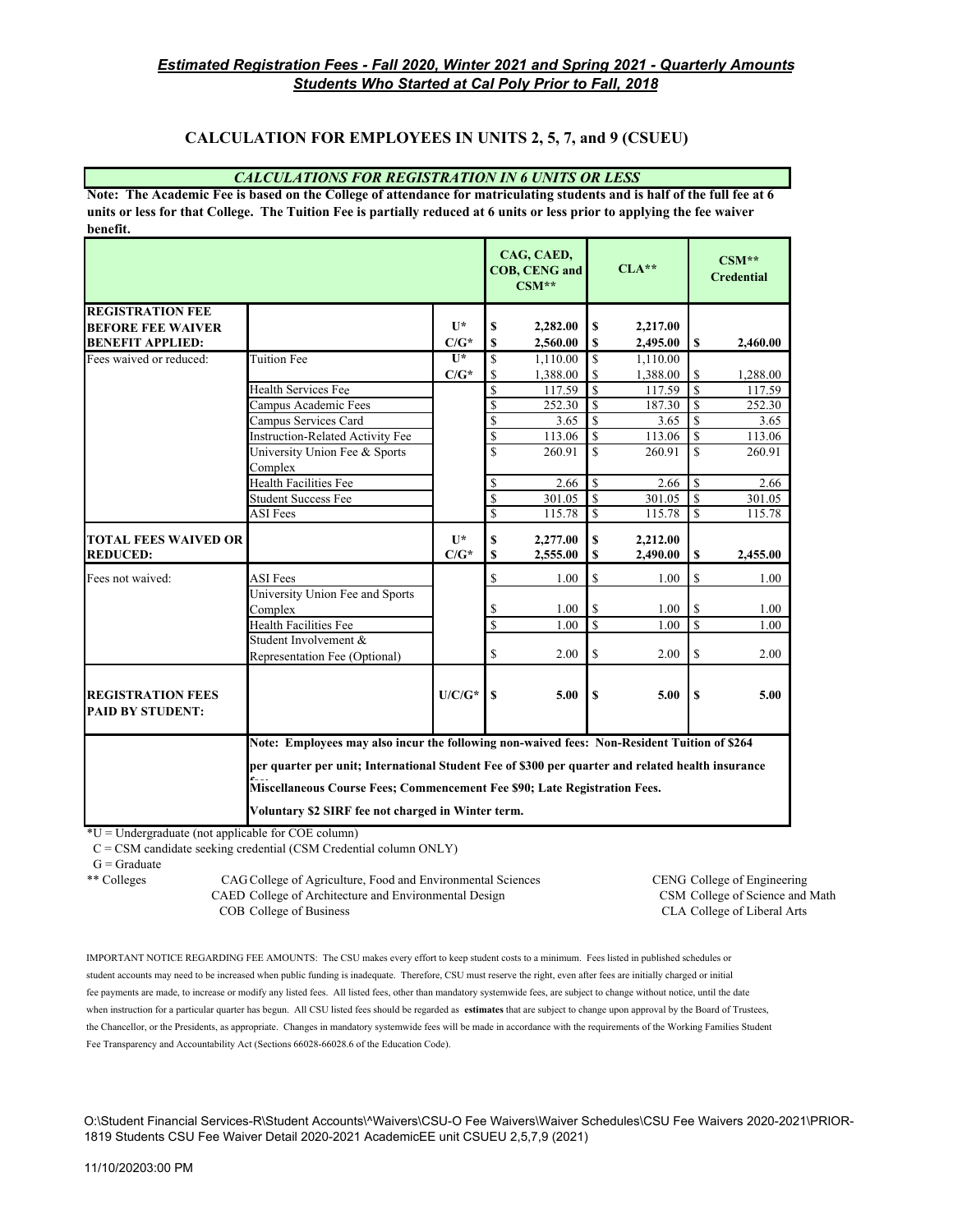### **CALCULATION FOR EMPLOYEES IN UNITS 2, 5, 7, and 9 (CSUEU)**

#### *CALCULATIONS FOR REGISTRATION IN 6 UNITS OR LESS*

**Note: The Academic Fee is based on the College of attendance for matriculating students and is half of the full fee at 6 units or less for that College. The Tuition Fee is partially reduced at 6 units or less prior to applying the fee waiver benefit.**

|                                                     |                                                                                                                                                                                                                  |                |                         | CAG, CAED,<br><b>COB, CENG and</b><br>$CSM**$ |                         | $CLA***$ |                         | $CSM**$<br><b>Credential</b> |  |
|-----------------------------------------------------|------------------------------------------------------------------------------------------------------------------------------------------------------------------------------------------------------------------|----------------|-------------------------|-----------------------------------------------|-------------------------|----------|-------------------------|------------------------------|--|
| <b>REGISTRATION FEE</b>                             |                                                                                                                                                                                                                  |                |                         |                                               |                         |          |                         |                              |  |
| <b>BEFORE FEE WAIVER</b>                            |                                                                                                                                                                                                                  | $\mathbf{U}^*$ | S                       | 2,282.00                                      | \$                      | 2,217.00 |                         |                              |  |
| <b>BENEFIT APPLIED:</b>                             |                                                                                                                                                                                                                  | $C/G^*$        | \$                      | 2,560.00                                      | \$                      | 2,495.00 | S                       | 2,460.00                     |  |
| Fees waived or reduced:                             | <b>Tuition Fee</b>                                                                                                                                                                                               | $II*$          | \$                      | 1,110.00                                      | $\mathbf S$             | 1,110.00 |                         |                              |  |
|                                                     |                                                                                                                                                                                                                  | $C/G^*$        | S                       | 1,388.00                                      | S                       | 1,388.00 | S                       | 1,288.00                     |  |
|                                                     | <b>Health Services Fee</b>                                                                                                                                                                                       |                | \$                      | 117.59                                        | $\mathbf S$             | 117.59   | $\mathbf S$             | 117.59                       |  |
|                                                     | Campus Academic Fees                                                                                                                                                                                             |                | \$                      | 252.30                                        | $\mathbf S$             | 187.30   | $\mathcal{S}$           | 252.30                       |  |
|                                                     | Campus Services Card                                                                                                                                                                                             |                | \$                      | 3.65                                          | $\mathbf S$             | 3.65     | $\mathbf S$             | 3.65                         |  |
|                                                     | <b>Instruction-Related Activity Fee</b>                                                                                                                                                                          |                | \$                      | 113.06                                        | $\mathbf S$             | 113.06   | \$                      | 113.06                       |  |
|                                                     | University Union Fee & Sports                                                                                                                                                                                    |                | \$                      | 260.91                                        | $\mathbf S$             | 260.91   | $\mathbf S$             | 260.91                       |  |
|                                                     | Complex                                                                                                                                                                                                          |                |                         |                                               |                         |          |                         |                              |  |
|                                                     | <b>Health Facilities Fee</b>                                                                                                                                                                                     |                | \$                      | 2.66                                          | $\mathbb{S}$            | 2.66     | <sup>\$</sup>           | 2.66                         |  |
|                                                     | <b>Student Success Fee</b>                                                                                                                                                                                       |                | \$                      | 301.05                                        | $\mathbf S$             | 301.05   | $\mathbf S$             | 301.05                       |  |
|                                                     | ASI Fees                                                                                                                                                                                                         |                | \$                      | 115.78                                        | $\mathbb{S}$            | 115.78   | S                       | 115.78                       |  |
| <b>TOTAL FEES WAIVED OR</b>                         |                                                                                                                                                                                                                  | $II*$          | \$                      | 2,277.00                                      | \$                      | 2,212.00 |                         |                              |  |
| <b>REDUCED:</b>                                     |                                                                                                                                                                                                                  | $C/G^*$        | S                       | 2,555.00                                      | \$                      | 2,490.00 | \$                      | 2,455.00                     |  |
| Fees not waived:                                    | <b>ASI</b> Fees                                                                                                                                                                                                  |                | \$                      | 1.00                                          | \$                      | 1.00     | \$                      | 1.00                         |  |
|                                                     | University Union Fee and Sports                                                                                                                                                                                  |                |                         |                                               |                         |          |                         |                              |  |
|                                                     | Complex                                                                                                                                                                                                          |                | \$                      | 1.00                                          | \$                      | 1.00     | \$                      | 1.00                         |  |
|                                                     | <b>Health Facilities Fee</b>                                                                                                                                                                                     |                | $\overline{\mathbb{S}}$ | 1.00                                          | $\overline{\mathbf{s}}$ | 1.00     | $\overline{\mathbf{s}}$ | 1.00                         |  |
|                                                     | Student Involvement &                                                                                                                                                                                            |                |                         |                                               |                         |          |                         |                              |  |
|                                                     | Representation Fee (Optional)                                                                                                                                                                                    |                | \$                      | 2.00                                          | \$                      | 2.00     | \$                      | 2.00                         |  |
|                                                     |                                                                                                                                                                                                                  |                |                         |                                               |                         |          |                         |                              |  |
| <b>REGISTRATION FEES</b><br><b>PAID BY STUDENT:</b> |                                                                                                                                                                                                                  | $U/C/G^*$      | <b>S</b>                | 5.00                                          | S                       | 5.00     | $\mathbf S$             | 5.00                         |  |
|                                                     | Note: Employees may also incur the following non-waived fees: Non-Resident Tuition of \$264<br>per quarter per unit; International Student Fee of \$300 per quarter and related health insurance<br>$\mathbf{r}$ |                |                         |                                               |                         |          |                         |                              |  |
|                                                     |                                                                                                                                                                                                                  |                |                         |                                               |                         |          |                         |                              |  |
|                                                     |                                                                                                                                                                                                                  |                |                         |                                               |                         |          |                         |                              |  |
|                                                     | Miscellaneous Course Fees; Commencement Fee \$90; Late Registration Fees.                                                                                                                                        |                |                         |                                               |                         |          |                         |                              |  |
|                                                     | Voluntary \$2 SIRF fee not charged in Winter term.                                                                                                                                                               |                |                         |                                               |                         |          |                         |                              |  |

 $*U =$ Undergraduate (not applicable for COE column)

C = CSM candidate seeking credential (CSM Credential column ONLY)

\*\* Colleges CAG College of Agriculture, Food and Environmental Sciences CENG College of Engineering CAED College of Architecture and Environmental Design CSM College of Science and Math COB College of Business CLA College of Liberal Arts

IMPORTANT NOTICE REGARDING FEE AMOUNTS: The CSU makes every effort to keep student costs to a minimum. Fees listed in published schedules or student accounts may need to be increased when public funding is inadequate. Therefore, CSU must reserve the right, even after fees are initially charged or initial fee payments are made, to increase or modify any listed fees. All listed fees, other than mandatory systemwide fees, are subject to change without notice, until the date when instruction for a particular quarter has begun. All CSU listed fees should be regarded as **estimates** that are subject to change upon approval by the Board of Trustees, the Chancellor, or the Presidents, as appropriate. Changes in mandatory systemwide fees will be made in accordance with the requirements of the Working Families Student Fee Transparency and Accountability Act (Sections 66028-66028.6 of the Education Code).

O:\Student Financial Services-R\Student Accounts\^Waivers\CSU-O Fee Waivers\Waiver Schedules\CSU Fee Waivers 2020-2021\PRIOR-1819 Students CSU Fee Waiver Detail 2020-2021 AcademicEE unit CSUEU 2,5,7,9 (2021)

 $G =$  Graduate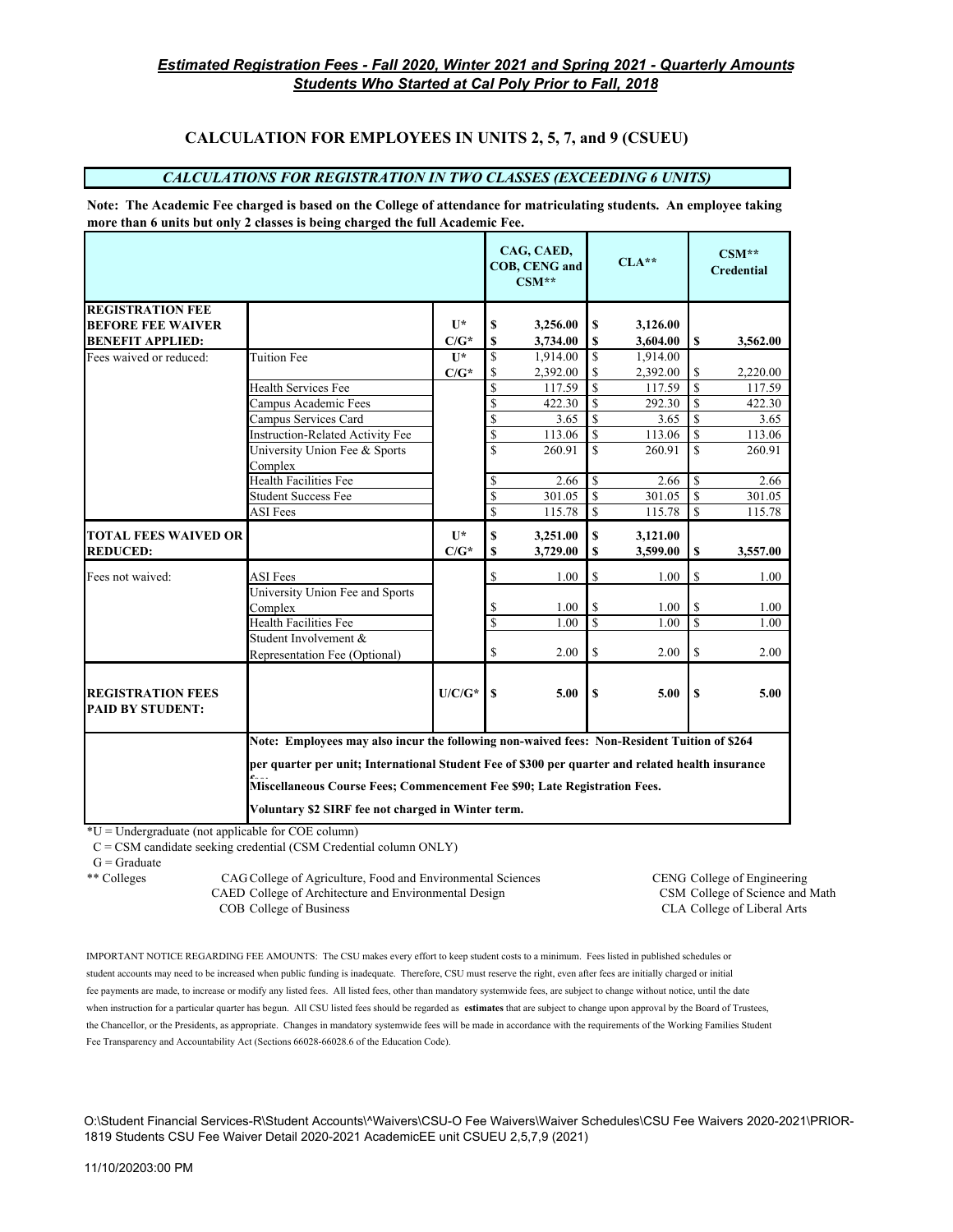# **CALCULATION FOR EMPLOYEES IN UNITS 2, 5, 7, and 9 (CSUEU)**

#### *CALCULATIONS FOR REGISTRATION IN TWO CLASSES (EXCEEDING 6 UNITS)*

**Note: The Academic Fee charged is based on the College of attendance for matriculating students. An employee taking more than 6 units but only 2 classes is being charged the full Academic Fee.**

|                                                     |                                                                                                                     |                |     | CAG, CAED,<br>COB, CENG and<br>$CSM**$ |                         | $CLA***$ |                    | $CSM**$<br><b>Credential</b> |
|-----------------------------------------------------|---------------------------------------------------------------------------------------------------------------------|----------------|-----|----------------------------------------|-------------------------|----------|--------------------|------------------------------|
| <b>REGISTRATION FEE</b>                             |                                                                                                                     |                |     |                                        |                         |          |                    |                              |
| <b>BEFORE FEE WAIVER</b>                            |                                                                                                                     | $\mathbf{U}^*$ | S   | 3,256.00                               | \$                      | 3,126.00 |                    |                              |
| <b>BENEFIT APPLIED:</b>                             |                                                                                                                     | $C/G^*$        | \$  | 3,734.00                               | \$                      | 3,604.00 | S                  | 3,562.00                     |
| Fees waived or reduced:                             | <b>Tuition Fee</b>                                                                                                  | $II*$          | S   | 1,914.00                               | \$                      | 1.914.00 |                    |                              |
|                                                     |                                                                                                                     | $C/G^*$        | \$  | 2,392.00                               | \$                      | 2,392.00 | S                  | 2,220.00                     |
|                                                     | <b>Health Services Fee</b>                                                                                          |                | \$  | 117.59                                 | $\mathbf S$             | 117.59   | <sup>\$</sup>      | 117.59                       |
|                                                     | Campus Academic Fees                                                                                                |                | \$  | 422.30                                 | $\mathbf S$             | 292.30   | $\mathbf S$        | 422.30                       |
|                                                     | Campus Services Card                                                                                                |                | \$  | 3.65                                   | $\overline{\mathbb{S}}$ | 3.65     | <sup>\$</sup>      | 3.65                         |
|                                                     | Instruction-Related Activity Fee                                                                                    |                | \$  | 113.06                                 | $\mathbf S$             | 113.06   | $\mathbf S$        | 113.06                       |
|                                                     | University Union Fee & Sports                                                                                       |                | \$  | 260.91                                 | \$                      | 260.91   | $\mathbf S$        | 260.91                       |
|                                                     | Complex                                                                                                             |                |     |                                        |                         |          |                    |                              |
|                                                     | Health Facilities Fee                                                                                               |                | \$  | 2.66                                   | \$                      | 2.66     | <sup>\$</sup>      | 2.66                         |
|                                                     | <b>Student Success Fee</b>                                                                                          |                | \$  | 301.05                                 | \$                      | 301.05   | \$                 | 301.05                       |
|                                                     | <b>ASI</b> Fees                                                                                                     |                | \$  | 115.78                                 | $\overline{\mathbb{S}}$ | 115.78   | $\mathbf{\hat{S}}$ | 115.78                       |
| <b>TOTAL FEES WAIVED OR</b>                         |                                                                                                                     | $\mathbf{U}^*$ | \$  | 3,251.00                               | \$                      | 3,121.00 |                    |                              |
| <b>REDUCED:</b>                                     |                                                                                                                     | $C/G^*$        | S   | 3,729.00                               | \$                      | 3,599.00 | \$                 | 3,557.00                     |
| Fees not waived:                                    | <b>ASI</b> Fees                                                                                                     |                | \$  | 1.00                                   | \$                      | 1.00     | S                  | 1.00                         |
|                                                     | University Union Fee and Sports                                                                                     |                |     |                                        |                         |          |                    |                              |
|                                                     | Complex                                                                                                             |                | \$  | 1.00                                   | \$                      | 1.00     | \$                 | 1.00                         |
|                                                     | <b>Health Facilities Fee</b>                                                                                        |                | \$  | 1.00                                   | \$                      | 1.00     | $\mathbf S$        | 1.00                         |
|                                                     | Student Involvement &                                                                                               |                |     |                                        |                         |          |                    |                              |
|                                                     | Representation Fee (Optional)                                                                                       |                | \$  | 2.00                                   | \$                      | 2.00     | $\mathbb{S}$       | 2.00                         |
| <b>REGISTRATION FEES</b><br><b>PAID BY STUDENT:</b> |                                                                                                                     | $U/C/G^*$      | \$. | 5.00                                   | S                       | 5.00     | $\mathbf{s}$       | 5.00                         |
|                                                     |                                                                                                                     |                |     |                                        |                         |          |                    |                              |
|                                                     | Note: Employees may also incur the following non-waived fees: Non-Resident Tuition of \$264                         |                |     |                                        |                         |          |                    |                              |
|                                                     | per quarter per unit; International Student Fee of \$300 per quarter and related health insurance<br>$\mathbf{r}$ . |                |     |                                        |                         |          |                    |                              |
|                                                     | Miscellaneous Course Fees; Commencement Fee \$90; Late Registration Fees.                                           |                |     |                                        |                         |          |                    |                              |
|                                                     | Voluntary \$2 SIRF fee not charged in Winter term.                                                                  |                |     |                                        |                         |          |                    |                              |

\*U = Undergraduate (not applicable for COE column)

C = CSM candidate seeking credential (CSM Credential column ONLY)

 $G =$  Graduate

\*\* Colleges CAG College of Agriculture, Food and Environmental Sciences CENG College of Engineering CAED College of Architecture and Environmental Design CSM College of Science and Math COB College of Business CLA College of Liberal Arts

IMPORTANT NOTICE REGARDING FEE AMOUNTS: The CSU makes every effort to keep student costs to a minimum. Fees listed in published schedules or student accounts may need to be increased when public funding is inadequate. Therefore, CSU must reserve the right, even after fees are initially charged or initial fee payments are made, to increase or modify any listed fees. All listed fees, other than mandatory systemwide fees, are subject to change without notice, until the date when instruction for a particular quarter has begun. All CSU listed fees should be regarded as **estimates** that are subject to change upon approval by the Board of Trustees, the Chancellor, or the Presidents, as appropriate. Changes in mandatory systemwide fees will be made in accordance with the requirements of the Working Families Student Fee Transparency and Accountability Act (Sections 66028-66028.6 of the Education Code).

O:\Student Financial Services-R\Student Accounts\^Waivers\CSU-O Fee Waivers\Waiver Schedules\CSU Fee Waivers 2020-2021\PRIOR-1819 Students CSU Fee Waiver Detail 2020-2021 AcademicEE unit CSUEU 2,5,7,9 (2021)